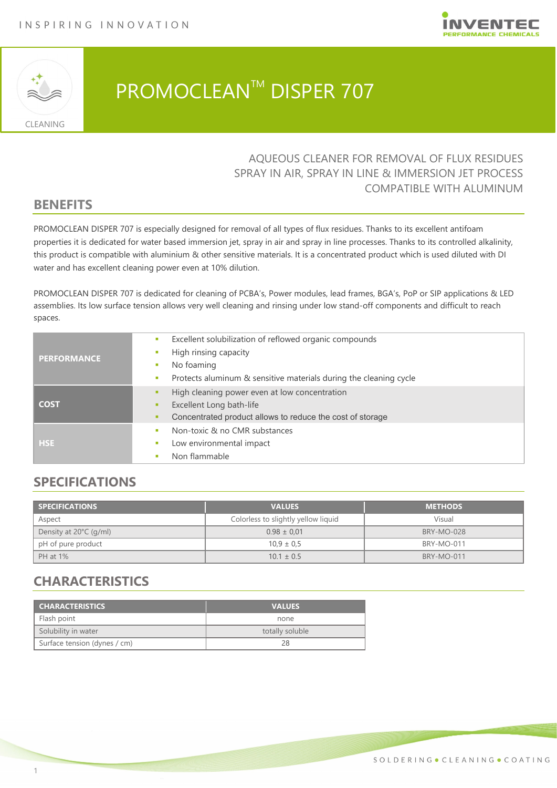



# PROMOCLEAN<sup>™</sup> DISPER 707

### AQUEOUS CLEANER FOR REMOVAL OF FLUX RESIDUES SPRAY IN AIR, SPRAY IN LINE & IMMERSION JET PROCESS COMPATIBLE WITH ALUMINUM

### **BENEFITS**

PROMOCLEAN DISPER 707 is especially designed for removal of all types of flux residues. Thanks to its excellent antifoam properties it is dedicated for water based immersion jet, spray in air and spray in line processes. Thanks to its controlled alkalinity, this product is compatible with aluminium & other sensitive materials. It is a concentrated product which is used diluted with DI water and has excellent cleaning power even at 10% dilution.

PROMOCLEAN DISPER 707 is dedicated for cleaning of PCBA's, Power modules, lead frames, BGA's, PoP or SIP applications & LED assemblies. Its low surface tension allows very well cleaning and rinsing under low stand-off components and difficult to reach spaces.

| <b>PERFORMANCE</b> | Excellent solubilization of reflowed organic compounds<br><b>COL</b>   |
|--------------------|------------------------------------------------------------------------|
|                    | High rinsing capacity                                                  |
|                    | No foaming                                                             |
|                    | Protects aluminum & sensitive materials during the cleaning cycle<br>× |
| <b>COST</b>        | High cleaning power even at low concentration                          |
|                    | Excellent Long bath-life                                               |
|                    | Concentrated product allows to reduce the cost of storage<br>٠         |
| <b>HSE</b>         | Non-toxic & no CMR substances<br>п                                     |
|                    | Low environmental impact<br>×                                          |
|                    | Non flammable                                                          |

# **SPECIFICATIONS**

| <b>SPECIFICATIONS</b>            | <b>VALUES</b>                       | <b>METHODS</b>    |  |
|----------------------------------|-------------------------------------|-------------------|--|
| Aspect                           | Colorless to slightly yellow liquid | Visual            |  |
| Density at $20^{\circ}$ C (g/ml) | $0.98 \pm 0.01$                     | <b>BRY-MO-028</b> |  |
| pH of pure product               | $10.9 \pm 0.5$                      | <b>BRY-MO-011</b> |  |
| PH at 1%                         | $10.1 \pm 0.5$                      | <b>BRY-MO-011</b> |  |

# **CHARACTERISTICS**

| <b>CHARACTERISTICS</b>       | <b>VALUES</b>   |  |
|------------------------------|-----------------|--|
| Flash point                  | none            |  |
| Solubility in water          | totally soluble |  |
| Surface tension (dynes / cm) |                 |  |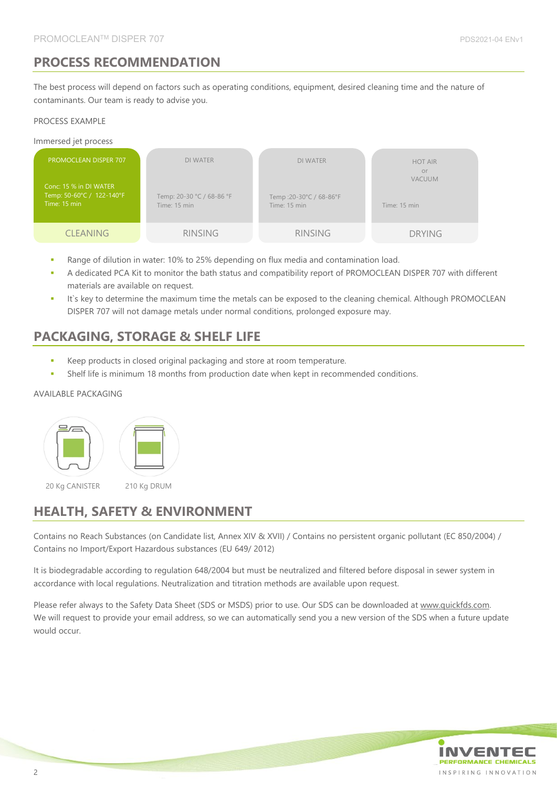# **PROCESS RECOMMENDATION**

The best process will depend on factors such as operating conditions, equipment, desired cleaning time and the nature of contaminants. Our team is ready to advise you.

#### PROCESS EXAMPLE

#### Immersed jet process

| <b>PROMOCLEAN DISPER 707</b><br>Conc: 15 % in DI WATER<br>Temp: 50-60°C / 122-140°F<br>Time: 15 min | DI WATER<br>Temp: 20-30 °C / 68-86 °F<br>Time: 15 min | <b>DI WATER</b><br>Temp:20-30°C / 68-86°F<br>Time: 15 min | <b>HOT AIR</b><br>or<br><b>VACUUM</b><br>Time: 15 min |
|-----------------------------------------------------------------------------------------------------|-------------------------------------------------------|-----------------------------------------------------------|-------------------------------------------------------|
| <b>CLEANING</b>                                                                                     | <b>RINSING</b>                                        | <b>RINSING</b>                                            | <b>DRYING</b>                                         |

- Range of dilution in water: 10% to 25% depending on flux media and contamination load.
- A dedicated PCA Kit to monitor the bath status and compatibility report of PROMOCLEAN DISPER 707 with different materials are available on request.
- It's key to determine the maximum time the metals can be exposed to the cleaning chemical. Although PROMOCLEAN DISPER 707 will not damage metals under normal conditions, prolonged exposure may.

# **PACKAGING, STORAGE & SHELF LIFE**

- Keep products in closed original packaging and store at room temperature.
- Shelf life is minimum 18 months from production date when kept in recommended conditions.

#### AVAILABLE PACKAGING



20 Kg CANISTER 210 Kg DRUM

# **HEALTH, SAFETY & ENVIRONMENT**

Contains no Reach Substances (on Candidate list, Annex XIV & XVII) / Contains no persistent organic pollutant (EC 850/2004) / Contains no Import/Export Hazardous substances (EU 649/ 2012)

It is biodegradable according to regulation 648/2004 but must be neutralized and filtered before disposal in sewer system in accordance with local regulations. Neutralization and titration methods are available upon request.

Please refer always to the Safety Data Sheet (SDS or MSDS) prior to use. Our SDS can be downloaded at www.quickfds.com. We will request to provide your email address, so we can automatically send you a new version of the SDS when a future update would occur.